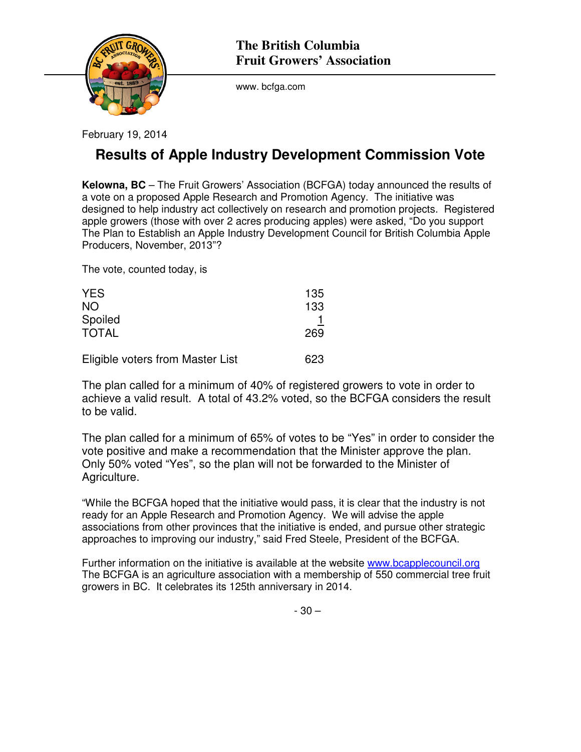

www. bcfga.com

February 19, 2014

## **Results of Apple Industry Development Commission Vote**

**Kelowna, BC** – The Fruit Growers' Association (BCFGA) today announced the results of a vote on a proposed Apple Research and Promotion Agency. The initiative was designed to help industry act collectively on research and promotion projects. Registered apple growers (those with over 2 acres producing apples) were asked, "Do you support The Plan to Establish an Apple Industry Development Council for British Columbia Apple Producers, November, 2013"?

The vote, counted today, is

| <b>YES</b><br><b>NO</b>          | 135<br>133 |
|----------------------------------|------------|
| Spoiled<br><b>TOTAL</b>          | 269        |
| Eligible voters from Master List | 623        |

The plan called for a minimum of 40% of registered growers to vote in order to achieve a valid result. A total of 43.2% voted, so the BCFGA considers the result to be valid.

The plan called for a minimum of 65% of votes to be "Yes" in order to consider the vote positive and make a recommendation that the Minister approve the plan. Only 50% voted "Yes", so the plan will not be forwarded to the Minister of Agriculture.

"While the BCFGA hoped that the initiative would pass, it is clear that the industry is not ready for an Apple Research and Promotion Agency. We will advise the apple associations from other provinces that the initiative is ended, and pursue other strategic approaches to improving our industry," said Fred Steele, President of the BCFGA.

Further information on the initiative is available at the website www.bcapplecouncil.org The BCFGA is an agriculture association with a membership of 550 commercial tree fruit growers in BC. It celebrates its 125th anniversary in 2014.

- 30 –